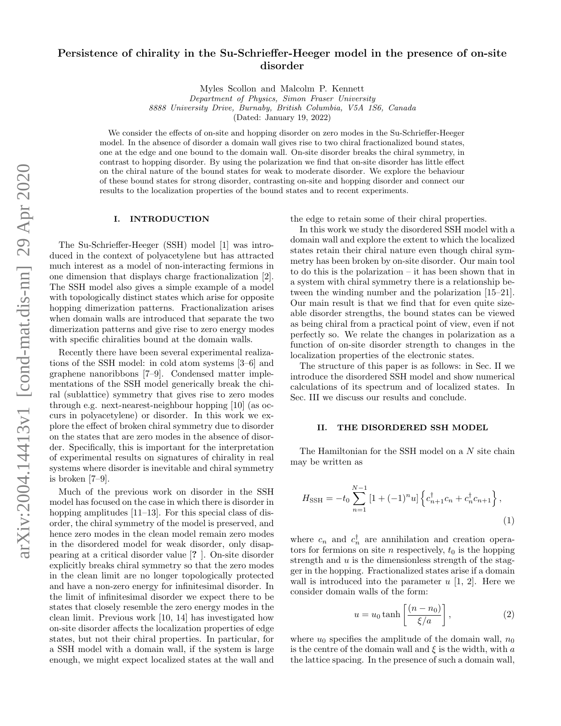# Persistence of chirality in the Su-Schrieffer-Heeger model in the presence of on-site disorder

Myles Scollon and Malcolm P. Kennett

Department of Physics, Simon Fraser University 8888 University Drive, Burnaby, British Columbia, V5A 1S6, Canada (Dated: January 19, 2022)

We consider the effects of on-site and hopping disorder on zero modes in the Su-Schrieffer-Heeger model. In the absence of disorder a domain wall gives rise to two chiral fractionalized bound states, one at the edge and one bound to the domain wall. On-site disorder breaks the chiral symmetry, in contrast to hopping disorder. By using the polarization we find that on-site disorder has little effect on the chiral nature of the bound states for weak to moderate disorder. We explore the behaviour of these bound states for strong disorder, contrasting on-site and hopping disorder and connect our results to the localization properties of the bound states and to recent experiments.

## I. INTRODUCTION

The Su-Schrieffer-Heeger (SSH) model [\[1\]](#page-3-0) was introduced in the context of polyacetylene but has attracted much interest as a model of non-interacting fermions in one dimension that displays charge fractionalization [\[2\]](#page-3-1). The SSH model also gives a simple example of a model with topologically distinct states which arise for opposite hopping dimerization patterns. Fractionalization arises when domain walls are introduced that separate the two dimerization patterns and give rise to zero energy modes with specific chiralities bound at the domain walls.

Recently there have been several experimental realizations of the SSH model: in cold atom systems [\[3–](#page-3-2)[6\]](#page-3-3) and graphene nanoribbons [\[7](#page-3-4)[–9\]](#page-4-0). Condensed matter implementations of the SSH model generically break the chiral (sublattice) symmetry that gives rise to zero modes through e.g. next-nearest-neighbour hopping [\[10\]](#page-4-1) (as occurs in polyacetylene) or disorder. In this work we explore the effect of broken chiral symmetry due to disorder on the states that are zero modes in the absence of disorder. Specifically, this is important for the interpretation of experimental results on signatures of chirality in real systems where disorder is inevitable and chiral symmetry is broken [\[7](#page-3-4)[–9\]](#page-4-0).

Much of the previous work on disorder in the SSH model has focused on the case in which there is disorder in hopping amplitudes [\[11](#page-4-2)[–13\]](#page-4-3). For this special class of disorder, the chiral symmetry of the model is preserved, and hence zero modes in the clean model remain zero modes in the disordered model for weak disorder, only disappearing at a critical disorder value [? ]. On-site disorder explicitly breaks chiral symmetry so that the zero modes in the clean limit are no longer topologically protected and have a non-zero energy for infinitesimal disorder. In the limit of infinitesimal disorder we expect there to be states that closely resemble the zero energy modes in the clean limit. Previous work [\[10,](#page-4-1) [14\]](#page-4-4) has investigated how on-site disorder affects the localization properties of edge states, but not their chiral properties. In particular, for a SSH model with a domain wall, if the system is large enough, we might expect localized states at the wall and

the edge to retain some of their chiral properties.

In this work we study the disordered SSH model with a domain wall and explore the extent to which the localized states retain their chiral nature even though chiral symmetry has been broken by on-site disorder. Our main tool to do this is the polarization – it has been shown that in a system with chiral symmetry there is a relationship between the winding number and the polarization [\[15–](#page-4-5)[21\]](#page-4-6). Our main result is that we find that for even quite sizeable disorder strengths, the bound states can be viewed as being chiral from a practical point of view, even if not perfectly so. We relate the changes in polarization as a function of on-site disorder strength to changes in the localization properties of the electronic states.

The structure of this paper is as follows: in Sec. [II](#page-0-0) we introduce the disordered SSH model and show numerical calculations of its spectrum and of localized states. In Sec. [III](#page-3-5) we discuss our results and conclude.

# <span id="page-0-0"></span>II. THE DISORDERED SSH MODEL

The Hamiltonian for the SSH model on a N site chain may be written as

$$
H_{\text{SSH}} = -t_0 \sum_{n=1}^{N-1} \left[ 1 + (-1)^n u \right] \left\{ c_{n+1}^\dagger c_n + c_n^\dagger c_{n+1} \right\},\tag{1}
$$

where  $c_n$  and  $c_n^{\dagger}$  are annihilation and creation operators for fermions on site *n* respectively,  $t_0$  is the hopping strength and  $u$  is the dimensionless strength of the stagger in the hopping. Fractionalized states arise if a domain wall is introduced into the parameter  $u$  [\[1,](#page-3-0) [2\]](#page-3-1). Here we consider domain walls of the form:

<span id="page-0-1"></span>
$$
u = u_0 \tanh\left[\frac{(n - n_0)}{\xi/a}\right],\tag{2}
$$

where  $u_0$  specifies the amplitude of the domain wall,  $n_0$ is the centre of the domain wall and  $\xi$  is the width, with a the lattice spacing. In the presence of such a domain wall,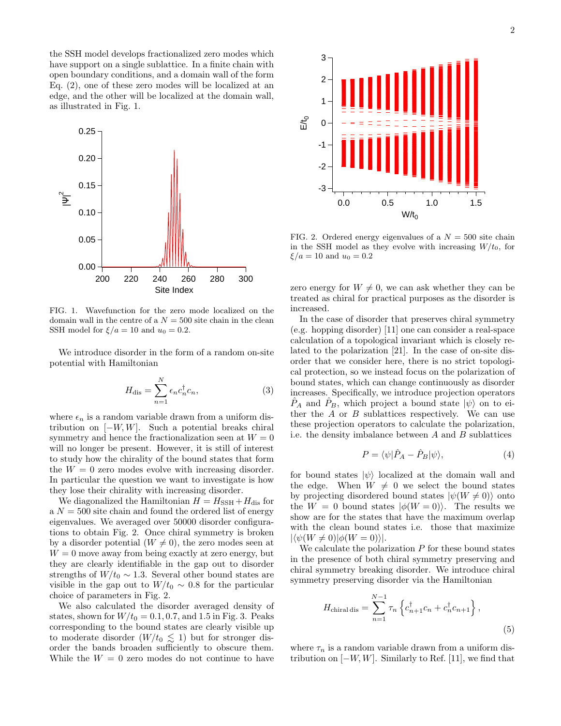the SSH model develops fractionalized zero modes which have support on a single sublattice. In a finite chain with open boundary conditions, and a domain wall of the form Eq. [\(2\)](#page-0-1), one of these zero modes will be localized at an edge, and the other will be localized at the domain wall, as illustrated in Fig. [1.](#page-1-0)



<span id="page-1-0"></span>FIG. 1. Wavefunction for the zero mode localized on the domain wall in the centre of a  $N = 500$  site chain in the clean SSH model for  $\xi/a = 10$  and  $u_0 = 0.2$ .

We introduce disorder in the form of a random on-site potential with Hamiltonian

$$
H_{\text{dis}} = \sum_{n=1}^{N} \epsilon_n c_n^{\dagger} c_n, \qquad (3)
$$

where  $\epsilon_n$  is a random variable drawn from a uniform distribution on  $[-W, W]$ . Such a potential breaks chiral symmetry and hence the fractionalization seen at  $W = 0$ will no longer be present. However, it is still of interest to study how the chirality of the bound states that form the  $W = 0$  zero modes evolve with increasing disorder. In particular the question we want to investigate is how they lose their chirality with increasing disorder.

We diagonalized the Hamiltonian  $H = H_{\text{SSH}} + H_{\text{dis}}$  for a  $N = 500$  site chain and found the ordered list of energy eigenvalues. We averaged over 50000 disorder configurations to obtain Fig. [2.](#page-1-1) Once chiral symmetry is broken by a disorder potential  $(W \neq 0)$ , the zero modes seen at  $W = 0$  move away from being exactly at zero energy, but they are clearly identifiable in the gap out to disorder strengths of  $W/t_0 \sim 1.3$ . Several other bound states are visible in the gap out to  $W/t_0 \sim 0.8$  for the particular choice of parameters in Fig. [2.](#page-1-1)

We also calculated the disorder averaged density of states, shown for  $W/t_0 = 0.1, 0.7$ , and 1.5 in Fig. [3.](#page-2-0) Peaks corresponding to the bound states are clearly visible up to moderate disorder  $(W/t_0 \lesssim 1)$  but for stronger disorder the bands broaden sufficiently to obscure them.



<span id="page-1-1"></span>FIG. 2. Ordered energy eigenvalues of a  $N = 500$  site chain in the SSH model as they evolve with increasing  $W/t_0$ , for  $\xi/a = 10$  and  $u_0 = 0.2$ 

zero energy for  $W \neq 0$ , we can ask whether they can be treated as chiral for practical purposes as the disorder is increased.

In the case of disorder that preserves chiral symmetry (e.g. hopping disorder) [\[11\]](#page-4-2) one can consider a real-space calculation of a topological invariant which is closely related to the polarization [\[21\]](#page-4-6). In the case of on-site disorder that we consider here, there is no strict topological protection, so we instead focus on the polarization of bound states, which can change continuously as disorder increases. Specifically, we introduce projection operators  $P_A$  and  $P_B$ , which project a bound state  $|\psi\rangle$  on to either the  $A$  or  $B$  sublattices respectively. We can use these projection operators to calculate the polarization, i.e. the density imbalance between  $A$  and  $B$  sublattices

$$
P = \langle \psi | \hat{P}_A - \hat{P}_B | \psi \rangle,\tag{4}
$$

for bound states  $|\psi\rangle$  localized at the domain wall and the edge. When  $W \neq 0$  we select the bound states by projecting disordered bound states  $|\psi(W \neq 0)\rangle$  onto the  $W = 0$  bound states  $|\phi(W = 0)\rangle$ . The results we show are for the states that have the maximum overlap with the clean bound states i.e. those that maximize  $|\langle \psi(W \neq 0)|\phi(W = 0)\rangle|.$ 

We calculate the polarization  $P$  for these bound states in the presence of both chiral symmetry preserving and chiral symmetry breaking disorder. We introduce chiral symmetry preserving disorder via the Hamiltonian

$$
H_{\text{chiral dis}} = \sum_{n=1}^{N-1} \tau_n \left\{ c_{n+1}^{\dagger} c_n + c_n^{\dagger} c_{n+1} \right\},\tag{5}
$$

where  $\tau_n$  is a random variable drawn from a uniform distribution on  $[-W, W]$ . Similarly to Ref. [\[11\]](#page-4-2), we find that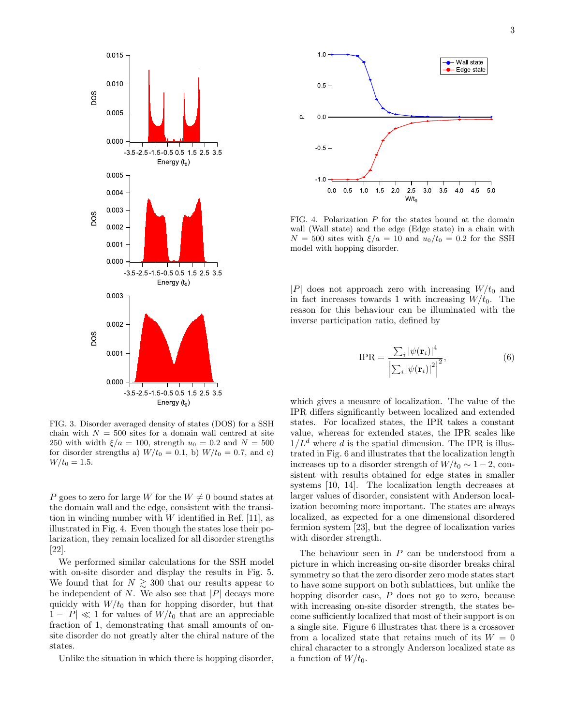

<span id="page-2-0"></span>FIG. 3. Disorder averaged density of states (DOS) for a SSH chain with  $N = 500$  sites for a domain wall centred at site 250 with width  $\xi/a = 100$ , strength  $u_0 = 0.2$  and  $N = 500$ for disorder strengths a)  $W/t_0 = 0.1$ , b)  $W/t_0 = 0.7$ , and c)  $W/t_0 = 1.5.$ 

P goes to zero for large W for the  $W \neq 0$  bound states at the domain wall and the edge, consistent with the transition in winding number with  $W$  identified in Ref. [\[11\]](#page-4-2), as illustrated in Fig. [4.](#page-2-1) Even though the states lose their polarization, they remain localized for all disorder strengths [\[22\]](#page-4-7).

We performed similar calculations for the SSH model with on-site disorder and display the results in Fig. [5.](#page-3-6) We found that for  $N \geq 300$  that our results appear to be independent of  $N$ . We also see that  $|P|$  decays more quickly with  $W/t_0$  than for hopping disorder, but that  $1 - |P| \ll 1$  for values of  $W/t_0$  that are an appreciable fraction of 1, demonstrating that small amounts of onsite disorder do not greatly alter the chiral nature of the states.

Unlike the situation in which there is hopping disorder,



<span id="page-2-1"></span>FIG. 4. Polarization P for the states bound at the domain wall (Wall state) and the edge (Edge state) in a chain with  $N = 500$  sites with  $\xi/a = 10$  and  $u_0/t_0 = 0.2$  for the SSH model with hopping disorder.

 $|P|$  does not approach zero with increasing  $W/t_0$  and in fact increases towards 1 with increasing  $W/t_0$ . The reason for this behaviour can be illuminated with the inverse participation ratio, defined by

$$
IPR = \frac{\sum_{i} |\psi(\mathbf{r}_{i})|^{4}}{\left|\sum_{i} |\psi(\mathbf{r}_{i})|^{2}\right|^{2}},
$$
\n(6)

which gives a measure of localization. The value of the IPR differs significantly between localized and extended states. For localized states, the IPR takes a constant value, whereas for extended states, the IPR scales like  $1/L<sup>d</sup>$  where d is the spatial dimension. The IPR is illustrated in Fig. [6](#page-3-7) and illustrates that the localization length increases up to a disorder strength of  $W/t_0 \sim 1-2$ , consistent with results obtained for edge states in smaller systems [\[10,](#page-4-1) [14\]](#page-4-4). The localization length decreases at larger values of disorder, consistent with Anderson localization becoming more important. The states are always localized, as expected for a one dimensional disordered fermion system [\[23\]](#page-4-8), but the degree of localization varies with disorder strength.

The behaviour seen in  $P$  can be understood from a picture in which increasing on-site disorder breaks chiral symmetry so that the zero disorder zero mode states start to have some support on both sublattices, but unlike the hopping disorder case, P does not go to zero, because with increasing on-site disorder strength, the states become sufficiently localized that most of their support is on a single site. Figure [6](#page-3-7) illustrates that there is a crossover from a localized state that retains much of its  $W = 0$ chiral character to a strongly Anderson localized state as a function of  $W/t_0$ .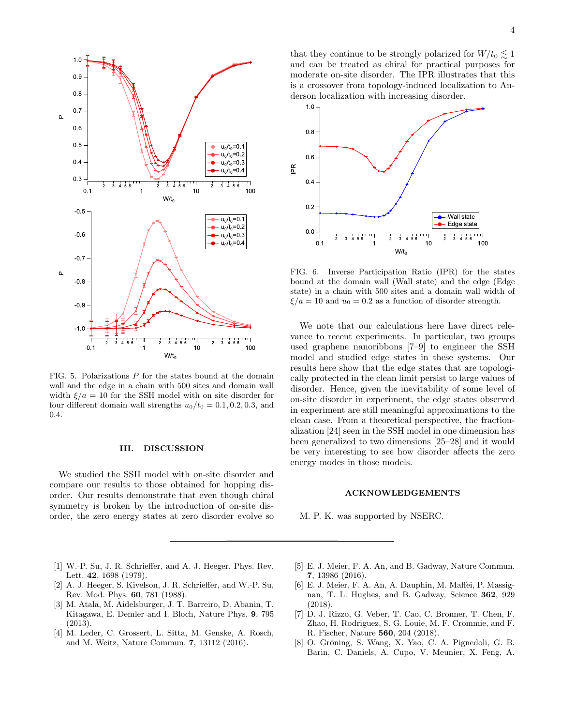

<span id="page-3-6"></span>FIG. 5. Polarizations  $P$  for the states bound at the domain wall and the edge in a chain with 500 sites and domain wall width  $\xi/a = 10$  for the SSH model with on site disorder for four different domain wall strengths  $u_0/t_0 = 0.1, 0.2, 0.3,$  and 0.4.

# <span id="page-3-5"></span>III. DISCUSSION

We studied the SSH model with on-site disorder and compare our results to those obtained for hopping disorder. Our results demonstrate that even though chiral symmetry is broken by the introduction of on-site disorder, the zero energy states at zero disorder evolve so

that they continue to be strongly polarized for  $W/t_0 \lesssim 1$ and can be treated as chiral for practical purposes for moderate on-site disorder. The IPR illustrates that this is a crossover from topology-induced localization to Anderson localization with increasing disorder.



<span id="page-3-7"></span>FIG. 6. Inverse Participation Ratio (IPR) for the states bound at the domain wall (Wall state) and the edge (Edge state) in a chain with 500 sites and a domain wall width of  $\xi/a = 10$  and  $u_0 = 0.2$  as a function of disorder strength.

We note that our calculations here have direct relevance to recent experiments. In particular, two groups used graphene nanoribbons [\[7–](#page-3-4)[9\]](#page-4-0) to engineer the SSH model and studied edge states in these systems. Our results here show that the edge states that are topologically protected in the clean limit persist to large values of disorder. Hence, given the inevitability of some level of on-site disorder in experiment, the edge states observed in experiment are still meaningful approximations to the clean case. From a theoretical perspective, the fractionalization [\[24\]](#page-4-9) seen in the SSH model in one dimension has been generalized to two dimensions [\[25](#page-4-10)[–28\]](#page-4-11) and it would be very interesting to see how disorder affects the zero energy modes in those models.

#### ACKNOWLEDGEMENTS

M. P. K. was supported by NSERC.

- <span id="page-3-0"></span>[1] W.-P. Su, J. R. Schrieffer, and A. J. Heeger, Phys. Rev. Lett. 42, 1698 (1979).
- <span id="page-3-1"></span>[2] A. J. Heeger, S. Kivelson, J. R. Schrieffer, and W.-P. Su, Rev. Mod. Phys. 60, 781 (1988).
- <span id="page-3-2"></span>[3] M. Atala, M. Aidelsburger, J. T. Barreiro, D. Abanin, T. Kitagawa, E. Demler and I. Bloch, Nature Phys. 9, 795 (2013).
- [4] M. Leder, C. Grossert, L. Sitta, M. Genske, A. Rosch, and M. Weitz, Nature Commun. 7, 13112 (2016).
- [5] E. J. Meier, F. A. An, and B. Gadway, Nature Commun. 7, 13986 (2016).
- <span id="page-3-3"></span>[6] E. J. Meier, F. A. An, A. Dauphin, M. Maffei, P. Massignan, T. L. Hughes, and B. Gadway, Science 362, 929 (2018).
- <span id="page-3-4"></span>[7] D. J. Rizzo, G. Veber, T. Cao, C. Bronner, T. Chen, F. Zhao, H. Rodriguez, S. G. Louie, M. F. Crommie, and F. R. Fischer, Nature 560, 204 (2018).
- [8] O. Gröning, S. Wang, X. Yao, C. A. Pignedoli, G. B. Barin, C. Daniels, A. Cupo, V. Meunier, X. Feng, A.